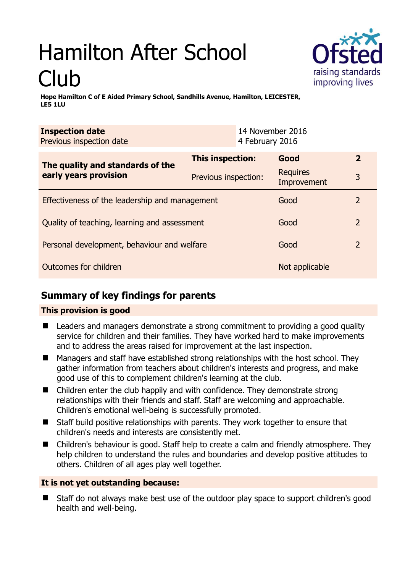# Hamilton After School Club



**Hope Hamilton C of E Aided Primary School, Sandhills Avenue, Hamilton, LEICESTER, LE5 1LU** 

| <b>Inspection date</b><br>Previous inspection date        | 14 November 2016<br>4 February 2016 |                                |                |
|-----------------------------------------------------------|-------------------------------------|--------------------------------|----------------|
| The quality and standards of the<br>early years provision | <b>This inspection:</b>             | Good                           | $\overline{2}$ |
|                                                           | Previous inspection:                | <b>Requires</b><br>Improvement | 3              |
| Effectiveness of the leadership and management            |                                     | Good                           | $\overline{2}$ |
| Quality of teaching, learning and assessment              |                                     | Good                           | $\overline{2}$ |
| Personal development, behaviour and welfare               |                                     | Good                           | $\overline{2}$ |
| Outcomes for children                                     |                                     | Not applicable                 |                |

# **Summary of key findings for parents**

## **This provision is good**

- Leaders and managers demonstrate a strong commitment to providing a good quality service for children and their families. They have worked hard to make improvements and to address the areas raised for improvement at the last inspection.
- Managers and staff have established strong relationships with the host school. They gather information from teachers about children's interests and progress, and make good use of this to complement children's learning at the club.
- Children enter the club happily and with confidence. They demonstrate strong relationships with their friends and staff. Staff are welcoming and approachable. Children's emotional well-being is successfully promoted.
- Staff build positive relationships with parents. They work together to ensure that children's needs and interests are consistently met.
- Children's behaviour is good. Staff help to create a calm and friendly atmosphere. They help children to understand the rules and boundaries and develop positive attitudes to others. Children of all ages play well together.

## **It is not yet outstanding because:**

 Staff do not always make best use of the outdoor play space to support children's good health and well-being.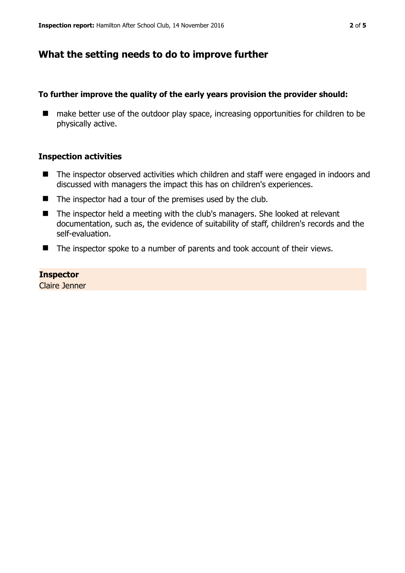## **What the setting needs to do to improve further**

#### **To further improve the quality of the early years provision the provider should:**

■ make better use of the outdoor play space, increasing opportunities for children to be physically active.

#### **Inspection activities**

- The inspector observed activities which children and staff were engaged in indoors and discussed with managers the impact this has on children's experiences.
- The inspector had a tour of the premises used by the club.
- The inspector held a meeting with the club's managers. She looked at relevant documentation, such as, the evidence of suitability of staff, children's records and the self-evaluation.
- The inspector spoke to a number of parents and took account of their views.

#### **Inspector**

Claire Jenner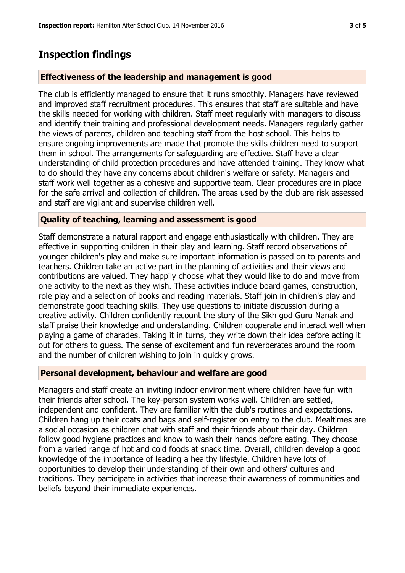## **Inspection findings**

#### **Effectiveness of the leadership and management is good**

The club is efficiently managed to ensure that it runs smoothly. Managers have reviewed and improved staff recruitment procedures. This ensures that staff are suitable and have the skills needed for working with children. Staff meet regularly with managers to discuss and identify their training and professional development needs. Managers regularly gather the views of parents, children and teaching staff from the host school. This helps to ensure ongoing improvements are made that promote the skills children need to support them in school. The arrangements for safeguarding are effective. Staff have a clear understanding of child protection procedures and have attended training. They know what to do should they have any concerns about children's welfare or safety. Managers and staff work well together as a cohesive and supportive team. Clear procedures are in place for the safe arrival and collection of children. The areas used by the club are risk assessed and staff are vigilant and supervise children well.

#### **Quality of teaching, learning and assessment is good**

Staff demonstrate a natural rapport and engage enthusiastically with children. They are effective in supporting children in their play and learning. Staff record observations of younger children's play and make sure important information is passed on to parents and teachers. Children take an active part in the planning of activities and their views and contributions are valued. They happily choose what they would like to do and move from one activity to the next as they wish. These activities include board games, construction, role play and a selection of books and reading materials. Staff join in children's play and demonstrate good teaching skills. They use questions to initiate discussion during a creative activity. Children confidently recount the story of the Sikh god Guru Nanak and staff praise their knowledge and understanding. Children cooperate and interact well when playing a game of charades. Taking it in turns, they write down their idea before acting it out for others to guess. The sense of excitement and fun reverberates around the room and the number of children wishing to join in quickly grows.

#### **Personal development, behaviour and welfare are good**

Managers and staff create an inviting indoor environment where children have fun with their friends after school. The key-person system works well. Children are settled, independent and confident. They are familiar with the club's routines and expectations. Children hang up their coats and bags and self-register on entry to the club. Mealtimes are a social occasion as children chat with staff and their friends about their day. Children follow good hygiene practices and know to wash their hands before eating. They choose from a varied range of hot and cold foods at snack time. Overall, children develop a good knowledge of the importance of leading a healthy lifestyle. Children have lots of opportunities to develop their understanding of their own and others' cultures and traditions. They participate in activities that increase their awareness of communities and beliefs beyond their immediate experiences.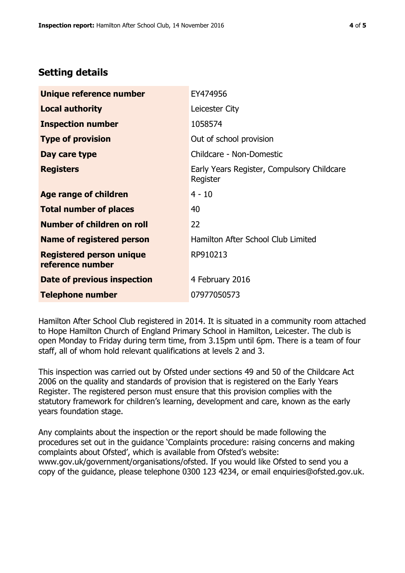## **Setting details**

| Unique reference number                             | EY474956                                               |  |
|-----------------------------------------------------|--------------------------------------------------------|--|
| <b>Local authority</b>                              | Leicester City                                         |  |
| <b>Inspection number</b>                            | 1058574                                                |  |
| <b>Type of provision</b>                            | Out of school provision                                |  |
| Day care type                                       | Childcare - Non-Domestic                               |  |
| <b>Registers</b>                                    | Early Years Register, Compulsory Childcare<br>Register |  |
| Age range of children                               | $4 - 10$                                               |  |
| <b>Total number of places</b>                       | 40                                                     |  |
| Number of children on roll                          | 22                                                     |  |
| Name of registered person                           | Hamilton After School Club Limited                     |  |
| <b>Registered person unique</b><br>reference number | RP910213                                               |  |
| <b>Date of previous inspection</b>                  | 4 February 2016                                        |  |
| <b>Telephone number</b>                             | 07977050573                                            |  |

Hamilton After School Club registered in 2014. It is situated in a community room attached to Hope Hamilton Church of England Primary School in Hamilton, Leicester. The club is open Monday to Friday during term time, from 3.15pm until 6pm. There is a team of four staff, all of whom hold relevant qualifications at levels 2 and 3.

This inspection was carried out by Ofsted under sections 49 and 50 of the Childcare Act 2006 on the quality and standards of provision that is registered on the Early Years Register. The registered person must ensure that this provision complies with the statutory framework for children's learning, development and care, known as the early years foundation stage.

Any complaints about the inspection or the report should be made following the procedures set out in the guidance 'Complaints procedure: raising concerns and making complaints about Ofsted', which is available from Ofsted's website: www.gov.uk/government/organisations/ofsted. If you would like Ofsted to send you a copy of the guidance, please telephone 0300 123 4234, or email enquiries@ofsted.gov.uk.